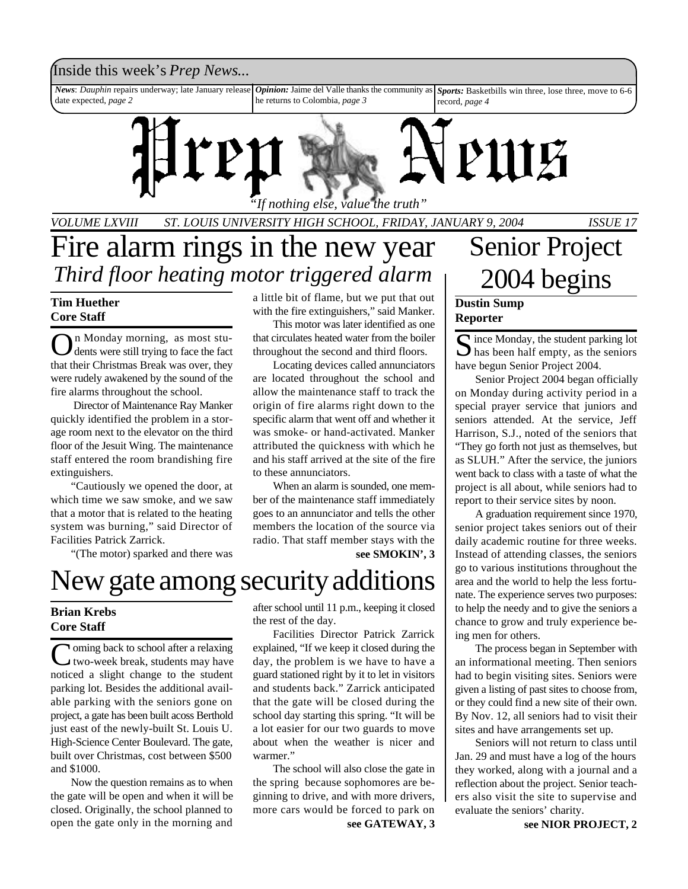## Inside this week's *Prep News*...

*News*: *Dauphin* repairs underway; late January release date expected, *page 2 Opinion:* Jaime del Valle thanks the community as he returns to Colombia, *page 3 Sports:* Basketbills win three, lose three, move to 6-6 record, *page 4*

*"If nothing else, value the truth"*

*VOLUME LXVIII ST. LOUIS UNIVERSITY HIGH SCHOOL, FRIDAY, JANUARY 9, 2004 ISSUE 17*

# Fire alarm rings in the new year *Third floor heating motor triggered alarm*

## **Tim Huether Core Staff**

O n Monday morning, as most students were still trying to face the fact that their Christmas Break was over, they were rudely awakened by the sound of the fire alarms throughout the school.

 Director of Maintenance Ray Manker quickly identified the problem in a storage room next to the elevator on the third floor of the Jesuit Wing. The maintenance staff entered the room brandishing fire extinguishers.

"Cautiously we opened the door, at which time we saw smoke, and we saw that a motor that is related to the heating system was burning," said Director of Facilities Patrick Zarrick.

"(The motor) sparked and there was

# **Brian Krebs Core Staff**

Coming back to school after a relaxing<br>two-week break, students may have two-week break, students may have noticed a slight change to the student parking lot. Besides the additional available parking with the seniors gone on project, a gate has been built acoss Berthold just east of the newly-built St. Louis U. High-Science Center Boulevard. The gate, built over Christmas, cost between \$500 and \$1000.

Now the question remains as to when the gate will be open and when it will be closed. Originally, the school planned to open the gate only in the morning and

a little bit of flame, but we put that out with the fire extinguishers," said Manker.

This motor was later identified as one that circulates heated water from the boiler throughout the second and third floors.

Locating devices called annunciators are located throughout the school and allow the maintenance staff to track the origin of fire alarms right down to the specific alarm that went off and whether it was smoke- or hand-activated. Manker attributed the quickness with which he and his staff arrived at the site of the fire to these annunciators.

When an alarm is sounded, one member of the maintenance staff immediately goes to an annunciator and tells the other members the location of the source via radio. That staff member stays with the

### **see SMOKIN', 3**

# New gate among security additions

after school until 11 p.m., keeping it closed the rest of the day.

Facilities Director Patrick Zarrick explained, "If we keep it closed during the day, the problem is we have to have a guard stationed right by it to let in visitors and students back." Zarrick anticipated that the gate will be closed during the school day starting this spring. "It will be a lot easier for our two guards to move about when the weather is nicer and warmer."

**see GATEWAY, 3** The school will also close the gate in the spring because sophomores are beginning to drive, and with more drivers, more cars would be forced to park on

# Senior Project 2004 begins

## **Dustin Sump Reporter**

Since Monday, the student parking lot<br>has been half empty, as the seniors  $\sum$  has been half empty, as the seniors have begun Senior Project 2004.

Senior Project 2004 began officially on Monday during activity period in a special prayer service that juniors and seniors attended. At the service, Jeff Harrison, S.J., noted of the seniors that "They go forth not just as themselves, but as SLUH." After the service, the juniors went back to class with a taste of what the project is all about, while seniors had to report to their service sites by noon.

A graduation requirement since 1970, senior project takes seniors out of their daily academic routine for three weeks. Instead of attending classes, the seniors go to various institutions throughout the area and the world to help the less fortunate. The experience serves two purposes: to help the needy and to give the seniors a chance to grow and truly experience being men for others.

The process began in September with an informational meeting. Then seniors had to begin visiting sites. Seniors were given a listing of past sites to choose from, or they could find a new site of their own. By Nov. 12, all seniors had to visit their sites and have arrangements set up.

Seniors will not return to class until Jan. 29 and must have a log of the hours they worked, along with a journal and a reflection about the project. Senior teachers also visit the site to supervise and evaluate the seniors' charity.

**see NIOR PROJECT, 2**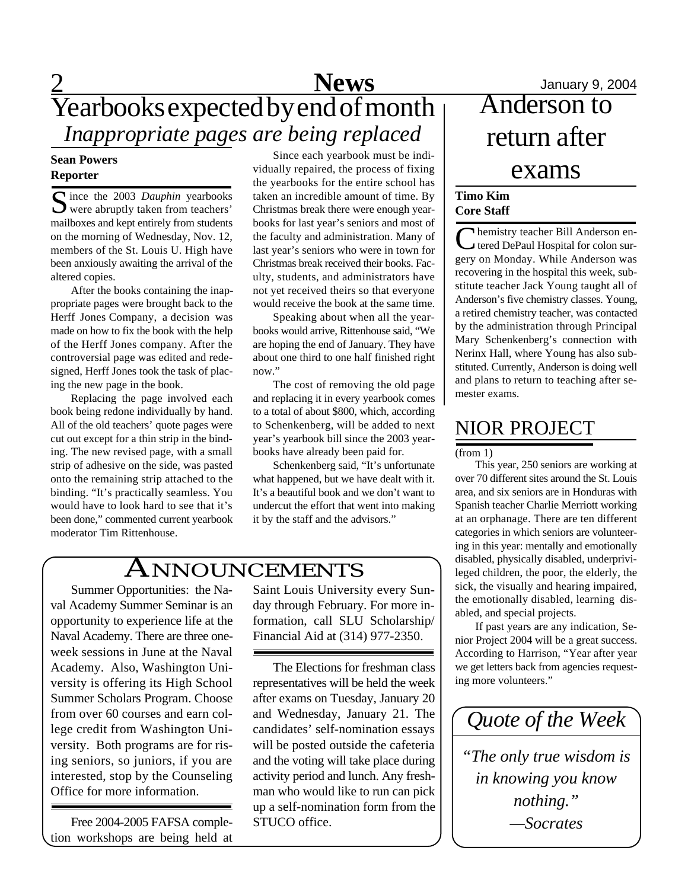# 2 **News** January 9, 2004 Yearbooks expected by end of month *Inappropriate pages are being replaced*

## **Sean Powers Reporter**

Since the 2003 *Dauphin* yearbooks<br>
were abruptly taken from teachers' were abruptly taken from teachers' mailboxes and kept entirely from students on the morning of Wednesday, Nov. 12, members of the St. Louis U. High have been anxiously awaiting the arrival of the altered copies.

After the books containing the inappropriate pages were brought back to the Herff Jones Company, a decision was made on how to fix the book with the help of the Herff Jones company. After the controversial page was edited and redesigned, Herff Jones took the task of placing the new page in the book.

Replacing the page involved each book being redone individually by hand. All of the old teachers' quote pages were cut out except for a thin strip in the binding. The new revised page, with a small strip of adhesive on the side, was pasted onto the remaining strip attached to the binding. "It's practically seamless. You would have to look hard to see that it's been done," commented current yearbook moderator Tim Rittenhouse.

Since each yearbook must be individually repaired, the process of fixing the yearbooks for the entire school has taken an incredible amount of time. By Christmas break there were enough yearbooks for last year's seniors and most of the faculty and administration. Many of last year's seniors who were in town for Christmas break received their books. Faculty, students, and administrators have not yet received theirs so that everyone would receive the book at the same time.

Speaking about when all the yearbooks would arrive, Rittenhouse said, "We are hoping the end of January. They have about one third to one half finished right now."

The cost of removing the old page and replacing it in every yearbook comes to a total of about \$800, which, according to Schenkenberg, will be added to next year's yearbook bill since the 2003 yearbooks have already been paid for.

Schenkenberg said, "It's unfortunate what happened, but we have dealt with it. It's a beautiful book and we don't want to undercut the effort that went into making it by the staff and the advisors."

# ANNOUNCEMENTS

Summer Opportunities: the Naval Academy Summer Seminar is an opportunity to experience life at the Naval Academy. There are three oneweek sessions in June at the Naval Academy. Also, Washington University is offering its High School Summer Scholars Program. Choose from over 60 courses and earn college credit from Washington University. Both programs are for rising seniors, so juniors, if you are interested, stop by the Counseling Office for more information.

Free 2004-2005 FAFSA completion workshops are being held at Saint Louis University every Sunday through February. For more information, call SLU Scholarship/ Financial Aid at (314) 977-2350.

The Elections for freshman class representatives will be held the week after exams on Tuesday, January 20 and Wednesday, January 21. The candidates' self-nomination essays will be posted outside the cafeteria and the voting will take place during activity period and lunch. Any freshman who would like to run can pick up a self-nomination form from the STUCO office.

# January 9, 2004<br>Anderson to return after exams

## **Timo Kim Core Staff**

Chemistry teacher Bill Anderson en-<br>tered DePaul Hospital for colon surhemistry teacher Bill Anderson engery on Monday. While Anderson was recovering in the hospital this week, substitute teacher Jack Young taught all of Anderson's five chemistry classes. Young, a retired chemistry teacher, was contacted by the administration through Principal Mary Schenkenberg's connection with Nerinx Hall, where Young has also substituted. Currently, Anderson is doing well and plans to return to teaching after semester exams.

# NIOR PROJECT

(from 1)

This year, 250 seniors are working at over 70 different sites around the St. Louis area, and six seniors are in Honduras with Spanish teacher Charlie Merriott working at an orphanage. There are ten different categories in which seniors are volunteering in this year: mentally and emotionally disabled, physically disabled, underprivileged children, the poor, the elderly, the sick, the visually and hearing impaired, the emotionally disabled, learning disabled, and special projects.

If past years are any indication, Senior Project 2004 will be a great success. According to Harrison, "Year after year we get letters back from agencies requesting more volunteers."

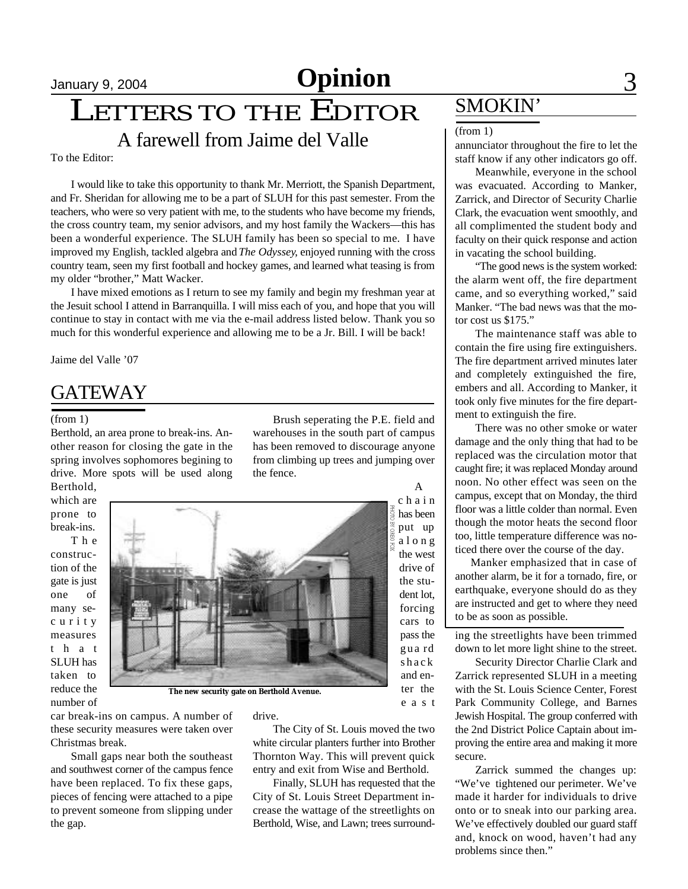# January 9, 2004 **Opinion** 3

LETTERS TO THE EDITOR

A farewell from Jaime del Valle

To the Editor:

I would like to take this opportunity to thank Mr. Merriott, the Spanish Department, and Fr. Sheridan for allowing me to be a part of SLUH for this past semester. From the teachers, who were so very patient with me, to the students who have become my friends, the cross country team, my senior advisors, and my host family the Wackers—this has been a wonderful experience. The SLUH family has been so special to me. I have improved my English, tackled algebra and *The Odyssey*, enjoyed running with the cross country team, seen my first football and hockey games, and learned what teasing is from my older "brother," Matt Wacker.

I have mixed emotions as I return to see my family and begin my freshman year at the Jesuit school I attend in Barranquilla. I will miss each of you, and hope that you will continue to stay in contact with me via the e-mail address listed below. Thank you so much for this wonderful experience and allowing me to be a Jr. Bill. I will be back!

Jaime del Valle '07

# **GATEWAY**

### (from 1)

Berthold, an area prone to break-ins. Another reason for closing the gate in the spring involves sophomores begining to drive. More spots will be used along Berthold,

which are prone to break-ins.

T h e construction of the gate is just one of many sec u r i t y measures t h a t SLUH has taken to reduce the number of

Brush seperating the P.E. field and warehouses in the south part of campus has been removed to discourage anyone from climbing up trees and jumping over the fence.

A

c h a i n has been put up a l o n g the west drive of the student lot, forcing cars to pass the gua rd shack and enter the e a s t **The new security gate on Berthold Avenue.**

car break-ins on campus. A number of these security measures were taken over Christmas break.

Small gaps near both the southeast and southwest corner of the campus fence have been replaced. To fix these gaps, pieces of fencing were attached to a pipe to prevent someone from slipping under the gap.

drive.

The City of St. Louis moved the two white circular planters further into Brother Thornton Way. This will prevent quick entry and exit from Wise and Berthold.

Finally, SLUH has requested that the City of St. Louis Street Department increase the wattage of the streetlights on Berthold, Wise, and Lawn; trees surround-

# SMOKIN'

### (from 1)

annunciator throughout the fire to let the staff know if any other indicators go off.

Meanwhile, everyone in the school was evacuated. According to Manker, Zarrick, and Director of Security Charlie Clark, the evacuation went smoothly, and all complimented the student body and faculty on their quick response and action in vacating the school building.

"The good news is the system worked: the alarm went off, the fire department came, and so everything worked," said Manker. "The bad news was that the motor cost us \$175."

The maintenance staff was able to contain the fire using fire extinguishers. The fire department arrived minutes later and completely extinguished the fire, embers and all. According to Manker, it took only five minutes for the fire department to extinguish the fire.

There was no other smoke or water damage and the only thing that had to be replaced was the circulation motor that caught fire; it was replaced Monday around noon. No other effect was seen on the campus, except that on Monday, the third floor was a little colder than normal. Even though the motor heats the second floor too, little temperature difference was noticed there over the course of the day.

 Manker emphasized that in case of another alarm, be it for a tornado, fire, or earthquake, everyone should do as they are instructed and get to where they need to be as soon as possible.

ing the streetlights have been trimmed down to let more light shine to the street.

Security Director Charlie Clark and Zarrick represented SLUH in a meeting with the St. Louis Science Center, Forest Park Community College, and Barnes Jewish Hospital. The group conferred with the 2nd District Police Captain about improving the entire area and making it more secure.

Zarrick summed the changes up: "We've tightened our perimeter. We've made it harder for individuals to drive onto or to sneak into our parking area. We've effectively doubled our guard staff and, knock on wood, haven't had any problems since then."

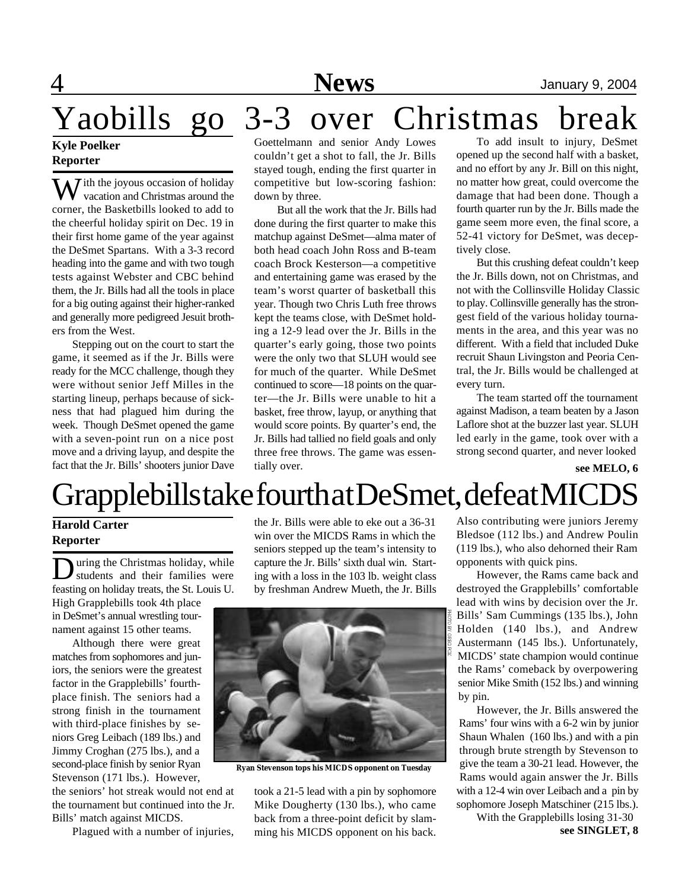# 4 **News** January 9, 2004

Yaobills go 3-3 over Christmas break

## **Kyle Poelker Reporter**

 $\overline{M}$  ith the joyous occasion of holiday vacation and Christmas around the corner, the Basketbills looked to add to the cheerful holiday spirit on Dec. 19 in their first home game of the year against the DeSmet Spartans. With a 3-3 record heading into the game and with two tough tests against Webster and CBC behind them, the Jr. Bills had all the tools in place for a big outing against their higher-ranked and generally more pedigreed Jesuit brothers from the West.

Stepping out on the court to start the game, it seemed as if the Jr. Bills were ready for the MCC challenge, though they were without senior Jeff Milles in the starting lineup, perhaps because of sickness that had plagued him during the week. Though DeSmet opened the game with a seven-point run on a nice post move and a driving layup, and despite the fact that the Jr. Bills' shooters junior Dave

Goettelmann and senior Andy Lowes couldn't get a shot to fall, the Jr. Bills stayed tough, ending the first quarter in competitive but low-scoring fashion: down by three.

 But all the work that the Jr. Bills had done during the first quarter to make this matchup against DeSmet—alma mater of both head coach John Ross and B-team coach Brock Kesterson—a competitive and entertaining game was erased by the team's worst quarter of basketball this year. Though two Chris Luth free throws kept the teams close, with DeSmet holding a 12-9 lead over the Jr. Bills in the quarter's early going, those two points were the only two that SLUH would see for much of the quarter. While DeSmet continued to score—18 points on the quarter—the Jr. Bills were unable to hit a basket, free throw, layup, or anything that would score points. By quarter's end, the Jr. Bills had tallied no field goals and only three free throws. The game was essentially over.

To add insult to injury, DeSmet opened up the second half with a basket, and no effort by any Jr. Bill on this night, no matter how great, could overcome the damage that had been done. Though a fourth quarter run by the Jr. Bills made the game seem more even, the final score, a 52-41 victory for DeSmet, was deceptively close.

But this crushing defeat couldn't keep the Jr. Bills down, not on Christmas, and not with the Collinsville Holiday Classic to play. Collinsville generally has the strongest field of the various holiday tournaments in the area, and this year was no different. With a field that included Duke recruit Shaun Livingston and Peoria Central, the Jr. Bills would be challenged at every turn.

The team started off the tournament against Madison, a team beaten by a Jason Laflore shot at the buzzer last year. SLUH led early in the game, took over with a strong second quarter, and never looked

**see MELO, 6**

# Grapplebills take fourth at DeSmet, defeat MICDS

## **Harold Carter Reporter**

D uring the Christmas holiday, while students and their families were feasting on holiday treats, the St. Louis U. High Grapplebills took 4th place in DeSmet's annual wrestling tournament against 15 other teams.

Although there were great matches from sophomores and juniors, the seniors were the greatest factor in the Grapplebills' fourthplace finish. The seniors had a strong finish in the tournament with third-place finishes by seniors Greg Leibach (189 lbs.) and Jimmy Croghan (275 lbs.), and a second-place finish by senior Ryan Stevenson (171 lbs.). However,

the seniors' hot streak would not end at the tournament but continued into the Jr. Bills' match against MICDS.

Plagued with a number of injuries,

the Jr. Bills were able to eke out a 36-31 win over the MICDS Rams in which the seniors stepped up the team's intensity to capture the Jr. Bills' sixth dual win. Starting with a loss in the 103 lb. weight class by freshman Andrew Mueth, the Jr. Bills



**Ryan Stevenson tops his MICDS opponent on Tuesday**

took a 21-5 lead with a pin by sophomore Mike Dougherty (130 lbs.), who came back from a three-point deficit by slamming his MICDS opponent on his back. Also contributing were juniors Jeremy Bledsoe (112 lbs.) and Andrew Poulin (119 lbs.), who also dehorned their Ram opponents with quick pins.

However, the Rams came back and destroyed the Grapplebills' comfortable lead with wins by decision over the Jr. Bills' Sam Cummings (135 lbs.), John Holden (140 lbs.), and Andrew Austermann (145 lbs.). Unfortunately, MICDS' state champion would continue the Rams' comeback by overpowering senior Mike Smith (152 lbs.) and winning by pin.

However, the Jr. Bills answered the Rams' four wins with a 6-2 win by junior Shaun Whalen (160 lbs.) and with a pin through brute strength by Stevenson to give the team a 30-21 lead. However, the Rams would again answer the Jr. Bills with a 12-4 win over Leibach and a pin by sophomore Joseph Matschiner (215 lbs.).

> **see SINGLET, 8** With the Grapplebills losing 31-30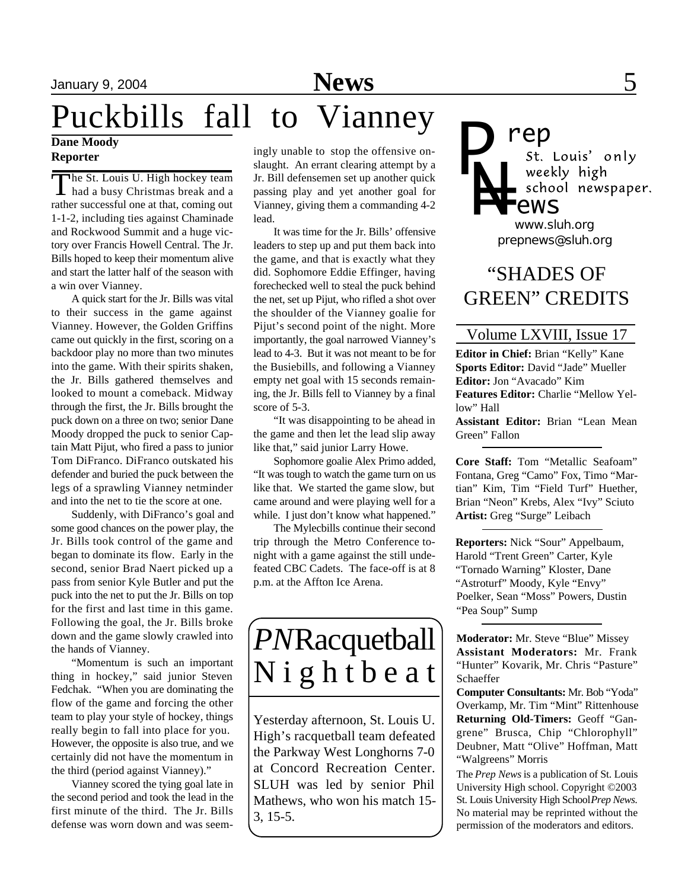# January 9, 2004 **News** 5

# Puckbills fall to Vianney

### **Dane Moody Reporter**

The St. Louis U. High hockey team The St. Louis U. High hockey team rather successful one at that, coming out 1-1-2, including ties against Chaminade and Rockwood Summit and a huge victory over Francis Howell Central. The Jr. Bills hoped to keep their momentum alive and start the latter half of the season with a win over Vianney.

A quick start for the Jr. Bills was vital to their success in the game against Vianney. However, the Golden Griffins came out quickly in the first, scoring on a backdoor play no more than two minutes into the game. With their spirits shaken, the Jr. Bills gathered themselves and looked to mount a comeback. Midway through the first, the Jr. Bills brought the puck down on a three on two; senior Dane Moody dropped the puck to senior Captain Matt Pijut, who fired a pass to junior Tom DiFranco. DiFranco outskated his defender and buried the puck between the legs of a sprawling Vianney netminder and into the net to tie the score at one.

Suddenly, with DiFranco's goal and some good chances on the power play, the Jr. Bills took control of the game and began to dominate its flow. Early in the second, senior Brad Naert picked up a pass from senior Kyle Butler and put the puck into the net to put the Jr. Bills on top for the first and last time in this game. Following the goal, the Jr. Bills broke down and the game slowly crawled into the hands of Vianney.

"Momentum is such an important thing in hockey," said junior Steven Fedchak. "When you are dominating the flow of the game and forcing the other team to play your style of hockey, things really begin to fall into place for you. However, the opposite is also true, and we certainly did not have the momentum in the third (period against Vianney)."

Vianney scored the tying goal late in the second period and took the lead in the first minute of the third. The Jr. Bills defense was worn down and was seem-

ingly unable to stop the offensive onslaught. An errant clearing attempt by a Jr. Bill defensemen set up another quick passing play and yet another goal for Vianney, giving them a commanding 4-2 lead.

It was time for the Jr. Bills' offensive leaders to step up and put them back into the game, and that is exactly what they did. Sophomore Eddie Effinger, having forechecked well to steal the puck behind the net, set up Pijut, who rifled a shot over the shoulder of the Vianney goalie for Pijut's second point of the night. More importantly, the goal narrowed Vianney's lead to 4-3. But it was not meant to be for the Busiebills, and following a Vianney empty net goal with 15 seconds remaining, the Jr. Bills fell to Vianney by a final score of 5-3.

"It was disappointing to be ahead in the game and then let the lead slip away like that," said junior Larry Howe.

Sophomore goalie Alex Primo added, "It was tough to watch the game turn on us like that. We started the game slow, but came around and were playing well for a while. I just don't know what happened."

The Mylecbills continue their second trip through the Metro Conference tonight with a game against the still undefeated CBC Cadets. The face-off is at 8 p.m. at the Affton Ice Arena.

# *PN*Racquetball N i g h t b e a t

Yesterday afternoon, St. Louis U. High's racquetball team defeated the Parkway West Longhorns 7-0 at Concord Recreation Center. SLUH was led by senior Phil Mathews, who won his match 15- 3, 15-5.

**rep**<br>*st. Louis' only P* weekly high *N=* school newspaper. *ews*

*prepnews@sluh.org www.sluh.org*

# "SHADES OF GREEN" CREDITS

## Volume LXVIII, Issue 17

**Editor in Chief:** Brian "Kelly" Kane **Sports Editor:** David "Jade" Mueller **Editor:** Jon "Avacado" Kim **Features Editor:** Charlie "Mellow Yellow" Hall

**Assistant Editor:** Brian "Lean Mean Green" Fallon

**Core Staff:** Tom "Metallic Seafoam" Fontana, Greg "Camo" Fox, Timo "Martian" Kim, Tim "Field Turf" Huether, Brian "Neon" Krebs, Alex "Ivy" Sciuto **Artist:** Greg "Surge" Leibach

**Reporters:** Nick "Sour" Appelbaum, Harold "Trent Green" Carter, Kyle "Tornado Warning" Kloster, Dane "Astroturf" Moody, Kyle "Envy" Poelker, Sean "Moss" Powers, Dustin "Pea Soup" Sump

**Moderator:** Mr. Steve "Blue" Missey **Assistant Moderators:** Mr. Frank "Hunter" Kovarik, Mr. Chris "Pasture" Schaeffer

**Computer Consultants:** Mr. Bob "Yoda" Overkamp, Mr. Tim "Mint" Rittenhouse **Returning Old-Timers:** Geoff "Gangrene" Brusca, Chip "Chlorophyll" Deubner, Matt "Olive" Hoffman, Matt "Walgreens" Morris

The *Prep News* is a publication of St. Louis University High school. Copyright ©2003 St. Louis University High School *Prep News.* No material may be reprinted without the permission of the moderators and editors.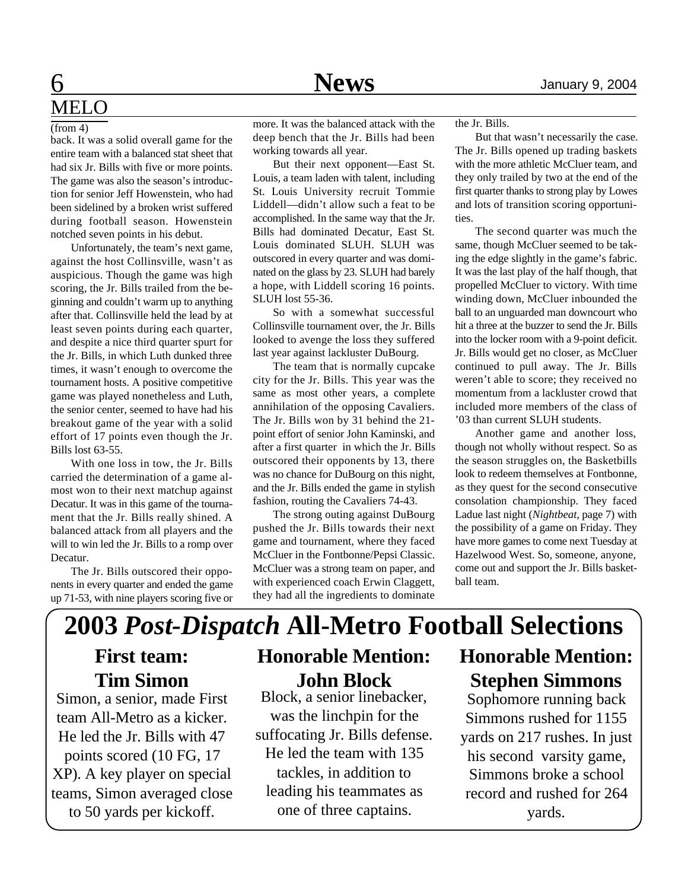# 6 **News** January 9, 2004 MEL<sub>O</sub>

### (from 4)

back. It was a solid overall game for the entire team with a balanced stat sheet that had six Jr. Bills with five or more points. The game was also the season's introduction for senior Jeff Howenstein, who had been sidelined by a broken wrist suffered during football season. Howenstein notched seven points in his debut.

Unfortunately, the team's next game, against the host Collinsville, wasn't as auspicious. Though the game was high scoring, the Jr. Bills trailed from the beginning and couldn't warm up to anything after that. Collinsville held the lead by at least seven points during each quarter, and despite a nice third quarter spurt for the Jr. Bills, in which Luth dunked three times, it wasn't enough to overcome the tournament hosts. A positive competitive game was played nonetheless and Luth, the senior center, seemed to have had his breakout game of the year with a solid effort of 17 points even though the Jr. Bills lost 63-55.

With one loss in tow, the Jr. Bills carried the determination of a game almost won to their next matchup against Decatur. It was in this game of the tournament that the Jr. Bills really shined. A balanced attack from all players and the will to win led the Jr. Bills to a romp over Decatur.

The Jr. Bills outscored their opponents in every quarter and ended the game up 71-53, with nine players scoring five or

more. It was the balanced attack with the deep bench that the Jr. Bills had been working towards all year.

But their next opponent—East St. Louis, a team laden with talent, including St. Louis University recruit Tommie Liddell—didn't allow such a feat to be accomplished. In the same way that the Jr. Bills had dominated Decatur, East St. Louis dominated SLUH. SLUH was outscored in every quarter and was dominated on the glass by 23. SLUH had barely a hope, with Liddell scoring 16 points. SLUH lost 55-36.

So with a somewhat successful Collinsville tournament over, the Jr. Bills looked to avenge the loss they suffered last year against lackluster DuBourg.

The team that is normally cupcake city for the Jr. Bills. This year was the same as most other years, a complete annihilation of the opposing Cavaliers. The Jr. Bills won by 31 behind the 21 point effort of senior John Kaminski, and after a first quarter in which the Jr. Bills outscored their opponents by 13, there was no chance for DuBourg on this night, and the Jr. Bills ended the game in stylish fashion, routing the Cavaliers 74-43.

The strong outing against DuBourg pushed the Jr. Bills towards their next game and tournament, where they faced McCluer in the Fontbonne/Pepsi Classic. McCluer was a strong team on paper, and with experienced coach Erwin Claggett, they had all the ingredients to dominate the Jr. Bills.

But that wasn't necessarily the case. The Jr. Bills opened up trading baskets with the more athletic McCluer team, and they only trailed by two at the end of the first quarter thanks to strong play by Lowes and lots of transition scoring opportunities.

The second quarter was much the same, though McCluer seemed to be taking the edge slightly in the game's fabric. It was the last play of the half though, that propelled McCluer to victory. With time winding down, McCluer inbounded the ball to an unguarded man downcourt who hit a three at the buzzer to send the Jr. Bills into the locker room with a 9-point deficit. Jr. Bills would get no closer, as McCluer continued to pull away. The Jr. Bills weren't able to score; they received no momentum from a lackluster crowd that included more members of the class of '03 than current SLUH students.

Another game and another loss, though not wholly without respect. So as the season struggles on, the Basketbills look to redeem themselves at Fontbonne, as they quest for the second consecutive consolation championship. They faced Ladue last night (*Nightbeat*, page 7) with the possibility of a game on Friday. They have more games to come next Tuesday at Hazelwood West. So, someone, anyone, come out and support the Jr. Bills basketball team.

# **2003** *Post-Dispatch* **All-Metro Football Selections First team: Honorable Mention:**

# **Tim Simon**

Simon, a senior, made First team All-Metro as a kicker. He led the Jr. Bills with 47 points scored (10 FG, 17 XP). A key player on special teams, Simon averaged close to 50 yards per kickoff.

# **John Block**

Block, a senior linebacker, was the linchpin for the suffocating Jr. Bills defense. He led the team with 135 tackles, in addition to leading his teammates as one of three captains.

# **Honorable Mention: Stephen Simmons**

Sophomore running back Simmons rushed for 1155 yards on 217 rushes. In just his second varsity game, Simmons broke a school record and rushed for 264 yards.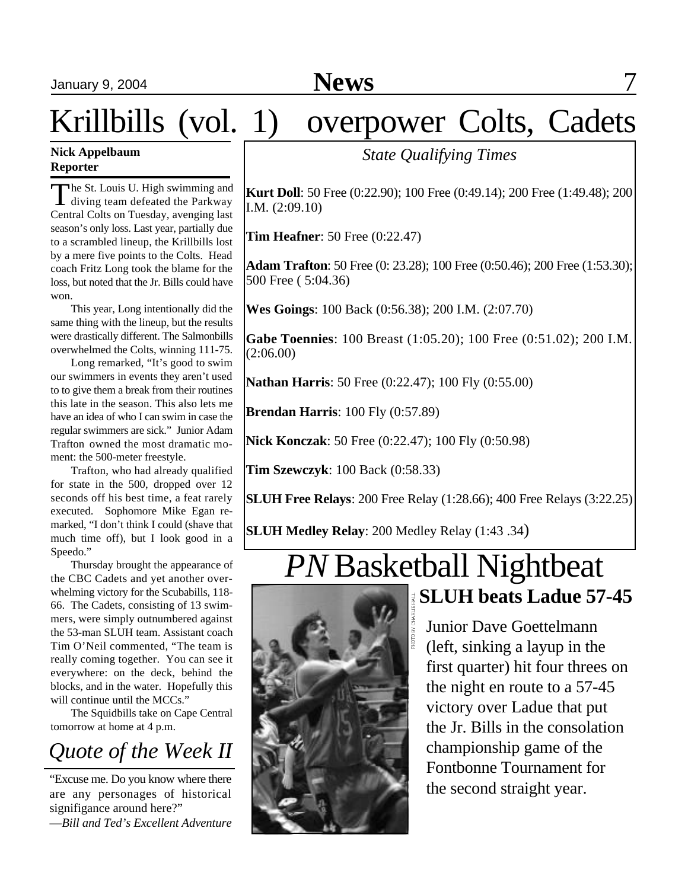# January 9, 2004 **News** 7

# Krillbills (vol. 1) overpower Colts, Cadets

## **Nick Appelbaum Reporter**

The St. Louis U. High swimming and<br>diving team defeated the Parkway I diving team defeated the Parkway Central Colts on Tuesday, avenging last season's only loss. Last year, partially due to a scrambled lineup, the Krillbills lost by a mere five points to the Colts. Head coach Fritz Long took the blame for the loss, but noted that the Jr. Bills could have won.

This year, Long intentionally did the same thing with the lineup, but the results were drastically different. The Salmonbills overwhelmed the Colts, winning 111-75.

Long remarked, "It's good to swim our swimmers in events they aren't used to to give them a break from their routines this late in the season. This also lets me have an idea of who I can swim in case the regular swimmers are sick." Junior Adam Trafton owned the most dramatic moment: the 500-meter freestyle.

Trafton, who had already qualified for state in the 500, dropped over 12 seconds off his best time, a feat rarely executed. Sophomore Mike Egan remarked, "I don't think I could (shave that much time off), but I look good in a Speedo."

Thursday brought the appearance of the CBC Cadets and yet another overwhelming victory for the Scubabills, 118- 66. The Cadets, consisting of 13 swimmers, were simply outnumbered against the 53-man SLUH team. Assistant coach Tim O'Neil commented, "The team is really coming together. You can see it everywhere: on the deck, behind the blocks, and in the water. Hopefully this will continue until the MCCs."

The Squidbills take on Cape Central tomorrow at home at 4 p.m.

# *Quote of the Week II*

"Excuse me. Do you know where there are any personages of historical signifigance around here?"

—*Bill and Ted's Excellent Adventure*

# *State Qualifying Times*

**Kurt Doll**: 50 Free (0:22.90); 100 Free (0:49.14); 200 Free (1:49.48); 200 I.M. (2:09.10)

**Tim Heafner**: 50 Free (0:22.47)

**Adam Trafton**: 50 Free (0: 23.28); 100 Free (0:50.46); 200 Free (1:53.30); 500 Free ( 5:04.36)

**Wes Goings**: 100 Back (0:56.38); 200 I.M. (2:07.70)

**Gabe Toennies**: 100 Breast (1:05.20); 100 Free (0:51.02); 200 I.M. (2:06.00)

**Nathan Harris**: 50 Free (0:22.47); 100 Fly (0:55.00)

**Brendan Harris**: 100 Fly (0:57.89)

**Nick Konczak**: 50 Free (0:22.47); 100 Fly (0:50.98)

**Tim Szewczyk**: 100 Back (0:58.33)

**SLUH Free Relays**: 200 Free Relay (1:28.66); 400 Free Relays (3:22.25)

**SLUH Medley Relay**: 200 Medley Relay (1:43 .34)

# *PN* Basketball Nightbeat **SLUH beats Ladue 57-45**



Junior Dave Goettelmann (left, sinking a layup in the first quarter) hit four threes on the night en route to a 57-45 victory over Ladue that put the Jr. Bills in the consolation championship game of the Fontbonne Tournament for the second straight year.